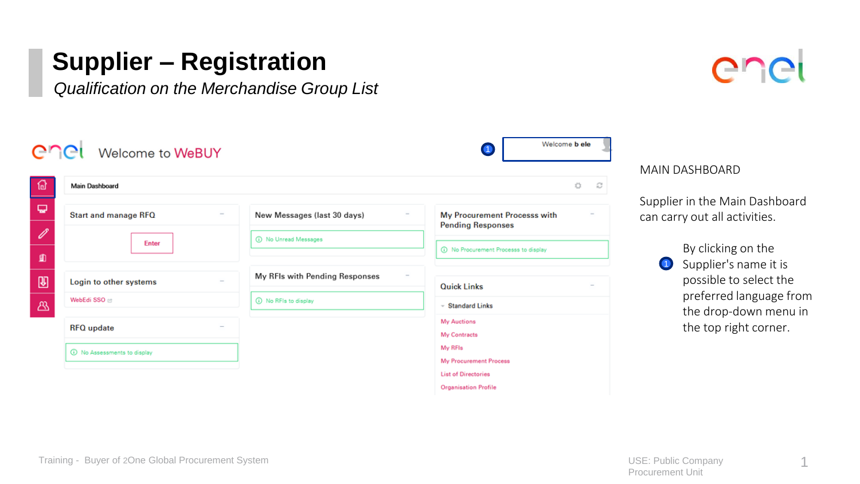*Qualification on the Merchandise Group List* 



| <b>Main Dashboard</b>  |  |                                | Ö<br>c                                                             |  |
|------------------------|--|--------------------------------|--------------------------------------------------------------------|--|
| Start and manage RFQ   |  | New Messages (last 30 days)    | My Procurement Processs with<br>$\sim$<br><b>Pending Responses</b> |  |
| <b>Enter</b>           |  | (i) No Unread Messages         |                                                                    |  |
|                        |  |                                | (i) No Procurement Processs to display                             |  |
| Login to other systems |  | My RFIs with Pending Responses | <b>Quick Links</b>                                                 |  |
| WebEdi SSO @           |  | (i) No RFIs to display         | - Standard Links                                                   |  |
| <b>RFQ</b> update      |  |                                | <b>My Auctions</b>                                                 |  |
|                        |  |                                | My Contracts                                                       |  |

MAIN DASHBOARD

Ipplier in the Main Dashboard an carry out all activities.

> By clicking on the **1** Supplier's name it is possible to select the preferred language from the drop-down menu in the top right corner.

> > 1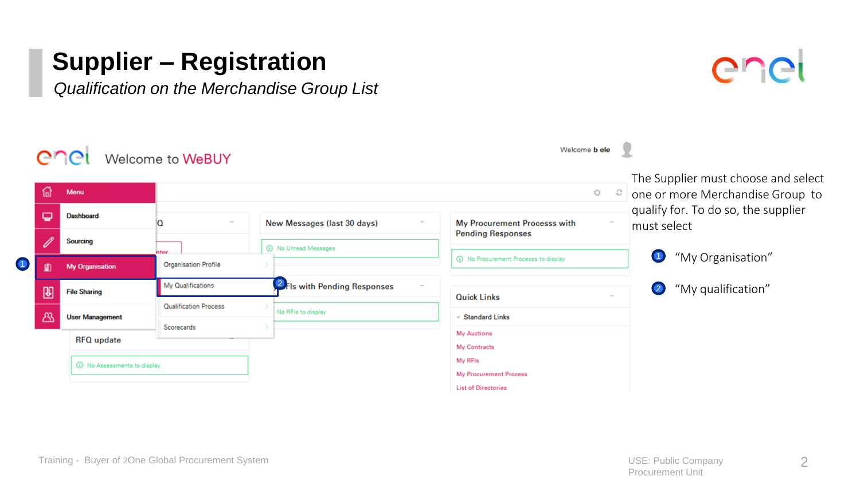

|                                              |  | Welcome <b>b</b> ele<br>Welcome to WeBUY |                              |                                        |                                                                                      |                                                    |
|----------------------------------------------|--|------------------------------------------|------------------------------|----------------------------------------|--------------------------------------------------------------------------------------|----------------------------------------------------|
| ⋒<br>پ<br><b>B</b><br>⋒<br>$\mathbb{B}$<br>க |  | Menu                                     |                              |                                        | The Supplier must choose and select<br>one or more Merchandise Group to<br>$\approx$ |                                                    |
|                                              |  | <b>Dashboard</b>                         |                              | New Messages (last 30 days)            | My Procurement Processs with                                                         | qualify for. To do so, the supplier<br>must select |
|                                              |  | <b>Sourcing</b>                          | nter.                        | (i) No Unread Messages                 | <b>Pending Responses</b>                                                             | $\bigcirc$<br>"My Organisation"                    |
|                                              |  | <b>My Organisation</b>                   | <b>Organisation Profile</b>  | (i) No Procurement Processs to display |                                                                                      |                                                    |
|                                              |  | <b>File Sharing</b>                      | My Qualifications            | <b>2</b> Fls with Pending Responses    | <b>Quick Links</b>                                                                   | "My qualification"<br>$\bullet$                    |
|                                              |  | <b>User Management</b>                   | <b>Qualification Process</b> | No RFIs to display                     | - Standard Links                                                                     |                                                    |
|                                              |  | <b>RFQ</b> update                        | Scorecards                   |                                        | <b>My Auctions</b><br>My Contracts                                                   |                                                    |
|                                              |  | 1 No Assessments to display              |                              |                                        | My RFIs<br>My Procurement Process                                                    |                                                    |
|                                              |  |                                          |                              |                                        | <b>List of Directories</b>                                                           |                                                    |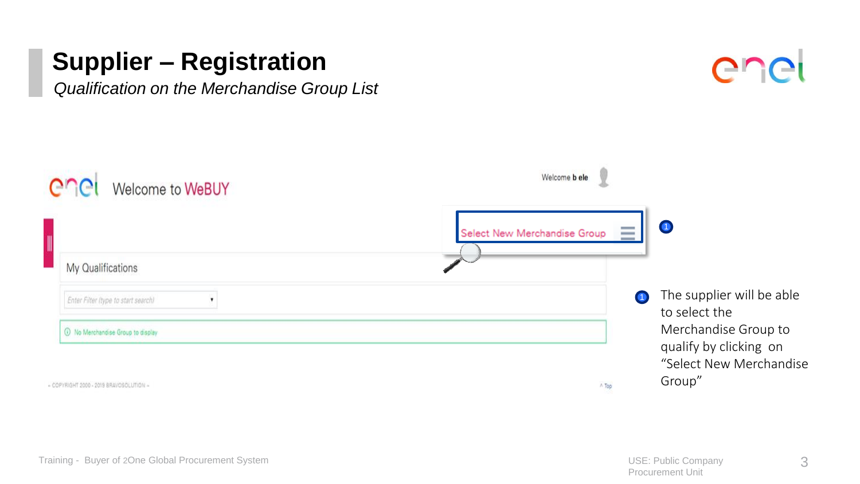

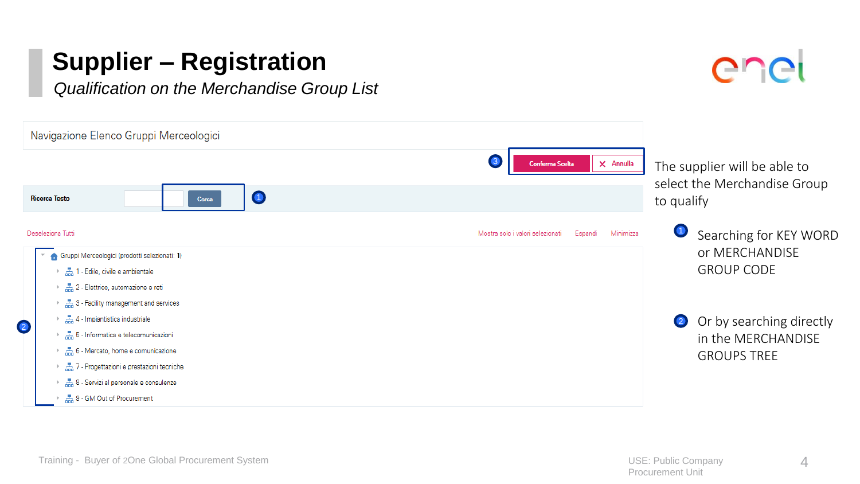

|           | Navigazione Elenco Gruppi Merceologici                                                                        |                                                          |                                                                            |
|-----------|---------------------------------------------------------------------------------------------------------------|----------------------------------------------------------|----------------------------------------------------------------------------|
|           | <b>Ricerca Testo</b><br>Cerca                                                                                 | <b>Conferma Scelta</b><br>$\times$ Annulla               | The supplier will be able to<br>select the Merchandise Group<br>to qualify |
|           | Deseleziona Tutti<br>Gruppi Merceologici (prodotti selezionati: 1)                                            | Minimizza<br>Mostra solo i valori selezionati<br>Espandi | Searching for KEY WORD<br>or MERCHANDISE                                   |
|           | 高 1 - Edile, civile e ambientale<br>2 - Elettrico, automazione e reti<br>3 - Facility management and services |                                                          | <b>GROUP CODE</b>                                                          |
| $\bullet$ | 4 - Impiantistica industriale<br>5- Informatica e telecomunicazioni<br>6 - Mercato, home e comunicazione      |                                                          | Or by searching directly<br>$\bullet$<br>in the MERCHANDISE                |
|           | 7 - Progettazioni e prestazioni tecniche<br>8 - Servizi al personale e consulenze                             |                                                          | <b>GROUPS TREE</b>                                                         |
|           | 高 9 - GM Out of Procurement                                                                                   |                                                          |                                                                            |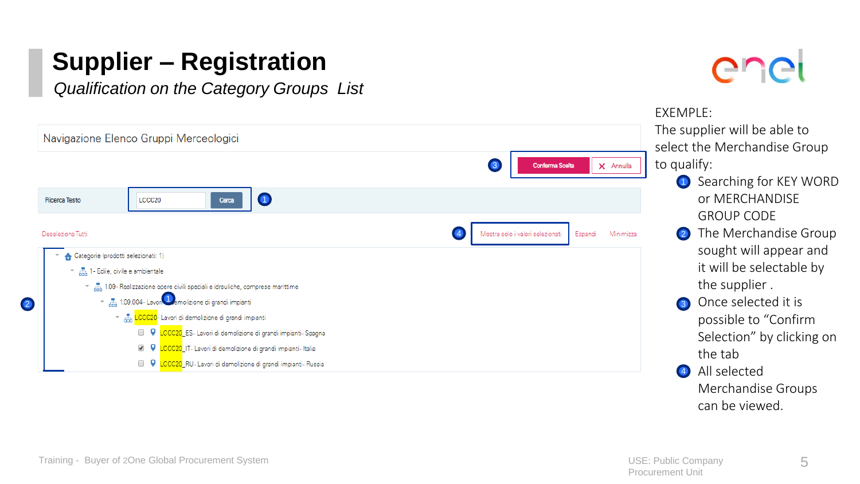*Qualification on the Category Groups List* 



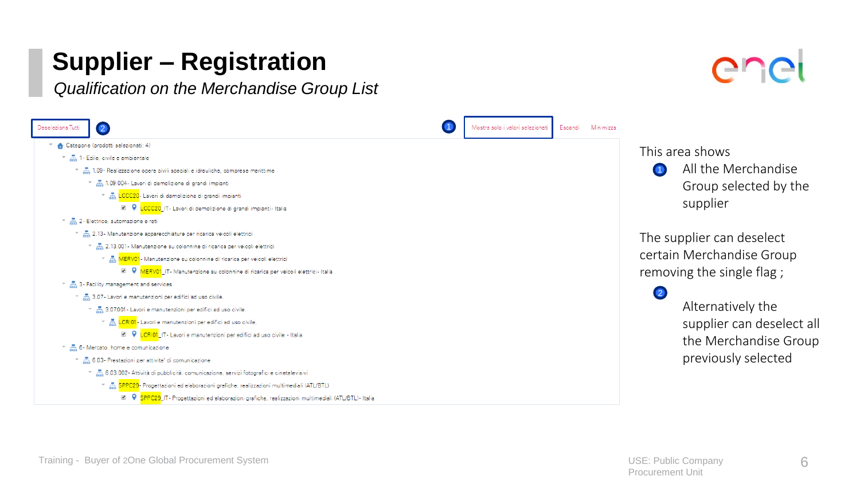*Qualification on the Merchandise Group List* 



 $\Gamma$